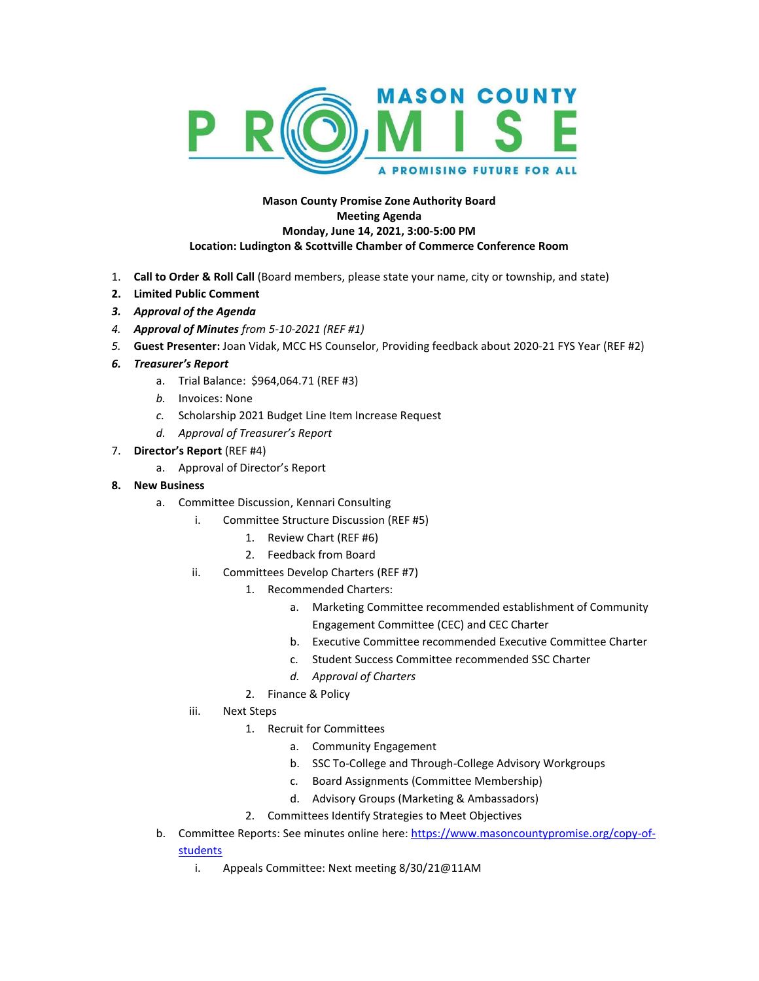

## **Mason County Promise Zone Authority Board Meeting Agenda Monday, June 14, 2021, 3:00-5:00 PM Location: Ludington & Scottville Chamber of Commerce Conference Room**

- 1. **Call to Order & Roll Call** (Board members, please state your name, city or township, and state)
- **2. Limited Public Comment**
- *3. Approval of the Agenda*
- *4. Approval of Minutes from 5-10-2021 (REF #1)*
- *5.* **Guest Presenter:** Joan Vidak, MCC HS Counselor, Providing feedback about 2020-21 FYS Year (REF #2)
- *6. Treasurer's Report*
	- a. Trial Balance: \$964,064.71 (REF #3)
	- *b.* Invoices: None
	- *c.* Scholarship 2021 Budget Line Item Increase Request
	- *d. Approval of Treasurer's Report*
- 7. **Director's Report** (REF #4)
	- a. Approval of Director's Report
- **8. New Business**
	- a. Committee Discussion, Kennari Consulting
		- i. Committee Structure Discussion (REF #5)
			- 1. Review Chart (REF #6)
			- 2. Feedback from Board
		- ii. Committees Develop Charters (REF #7)
			- 1. Recommended Charters:
				- a. Marketing Committee recommended establishment of Community Engagement Committee (CEC) and CEC Charter
				- b. Executive Committee recommended Executive Committee Charter
				- c. Student Success Committee recommended SSC Charter
				- *d. Approval of Charters*
				- 2. Finance & Policy
		- iii. Next Steps
			- 1. Recruit for Committees
				- a. Community Engagement
				- b. SSC To-College and Through-College Advisory Workgroups
				- c. Board Assignments (Committee Membership)
				- d. Advisory Groups (Marketing & Ambassadors)
			- 2. Committees Identify Strategies to Meet Objectives
	- b. Committee Reports: See minutes online here[: https://www.masoncountypromise.org/copy-of](https://www.masoncountypromise.org/copy-of-students)[students](https://www.masoncountypromise.org/copy-of-students)
		- i. Appeals Committee: Next meeting 8/30/21@11AM